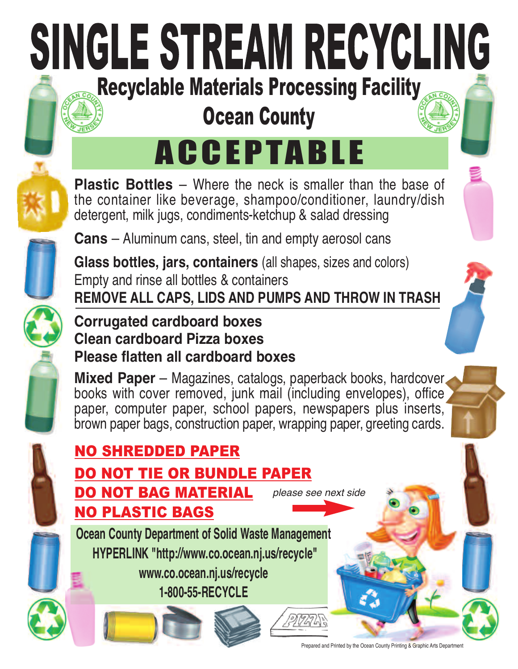# SINGLE STREAM RECYCLING Recyclable Materials Processing Facility

## Ocean County

## ACCEPTABLE

**Plastic Bottles** – Where the neck is smaller than the base of the container like beverage, shampoo/conditioner, laundry/dish detergent, milk jugs, condiments-ketchup & salad dressing

**Cans** – Aluminum cans, steel, tin and empty aerosol cans

**Glass bottles, jars, containers** (all shapes, sizes and colors) Empty and rinse all bottles & containers **REMOVE ALL CAPS, LIDS AND PUMPS AND THROW IN TRASH**



#### **Corrugated cardboard boxes Clean cardboard Pizza boxes Please flatten all cardboard boxes**

**Mixed Paper** – Magazines, catalogs, paperback books, hardcover books with cover removed, junk mail (including envelopes), office paper, computer paper, school papers, newspapers plus inserts, brown paper bags, construction paper, wrapping paper, greeting cards.



#### NO SHREDDED PAPER DO NOT TIE OR BUNDLE PAPER DO NOT BAG MATERIAL NO PLASTIC BAGS *please see next side* **Ocean County Department of Solid Waste Management HYPERLINK "http://www.co.ocean.nj.us/recycle" www.co.ocean.nj.us/recycle**

**1-800-55-RECYCLE**

Prepared and Printed by the Ocean County Printing & Graphic Arts Department